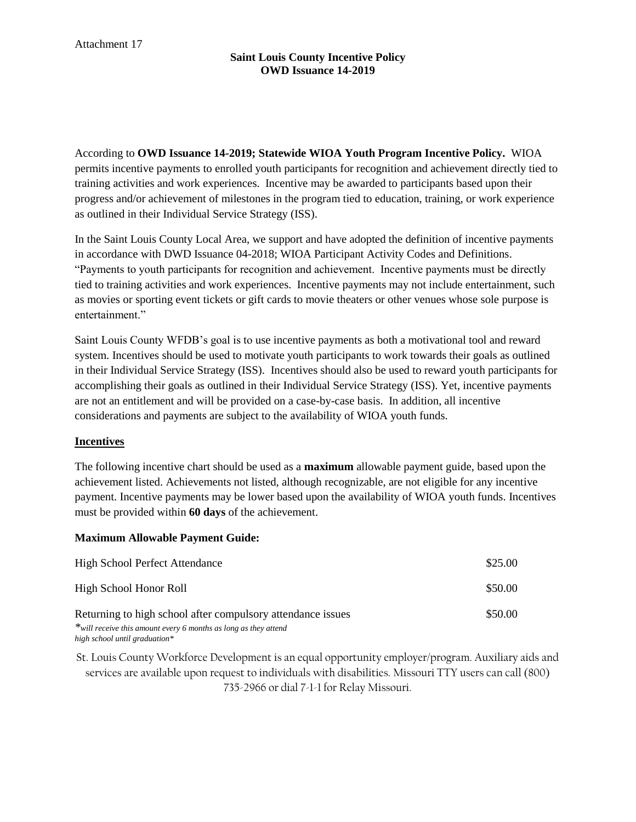According to **OWD Issuance 14-2019; Statewide WIOA Youth Program Incentive Policy.** WIOA permits incentive payments to enrolled youth participants for recognition and achievement directly tied to training activities and work experiences. Incentive may be awarded to participants based upon their progress and/or achievement of milestones in the program tied to education, training, or work experience as outlined in their Individual Service Strategy (ISS).

In the Saint Louis County Local Area, we support and have adopted the definition of incentive payments in accordance with DWD Issuance 04-2018; WIOA Participant Activity Codes and Definitions. "Payments to youth participants for recognition and achievement. Incentive payments must be directly tied to training activities and work experiences. Incentive payments may not include entertainment, such as movies or sporting event tickets or gift cards to movie theaters or other venues whose sole purpose is entertainment."

Saint Louis County WFDB's goal is to use incentive payments as both a motivational tool and reward system. Incentives should be used to motivate youth participants to work towards their goals as outlined in their Individual Service Strategy (ISS). Incentives should also be used to reward youth participants for accomplishing their goals as outlined in their Individual Service Strategy (ISS). Yet, incentive payments are not an entitlement and will be provided on a case-by-case basis. In addition, all incentive considerations and payments are subject to the availability of WIOA youth funds.

# **Incentives**

The following incentive chart should be used as a **maximum** allowable payment guide, based upon the achievement listed. Achievements not listed, although recognizable, are not eligible for any incentive payment. Incentive payments may be lower based upon the availability of WIOA youth funds. Incentives must be provided within **60 days** of the achievement.

## **Maximum Allowable Payment Guide:**

| <b>High School Perfect Attendance</b>                                                                                          | \$25.00 |
|--------------------------------------------------------------------------------------------------------------------------------|---------|
| High School Honor Roll                                                                                                         | \$50.00 |
| Returning to high school after compulsory attendance issues<br>*will receive this amount every 6 months as long as they attend | \$50.00 |

*high school until graduation\**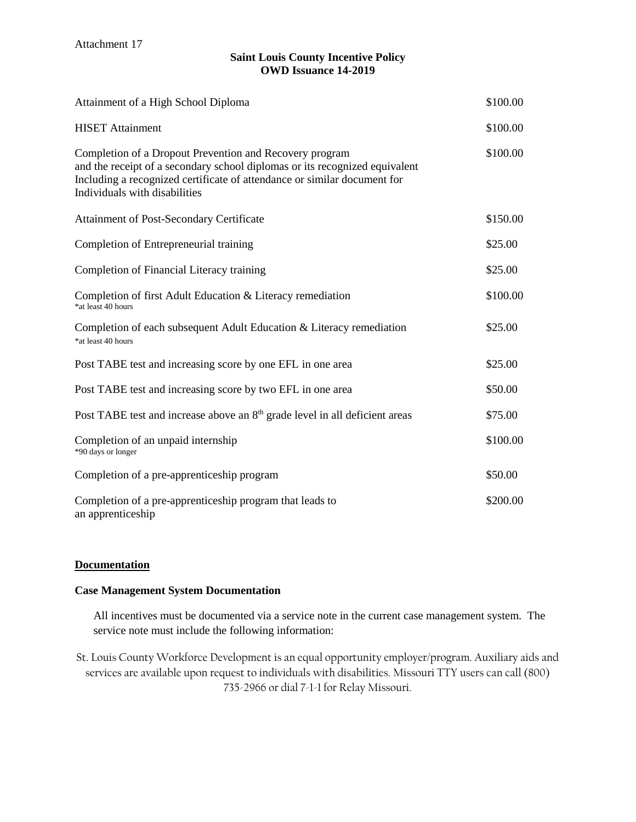| Attainment of a High School Diploma                                                                                                                                                                                                                 | \$100.00 |
|-----------------------------------------------------------------------------------------------------------------------------------------------------------------------------------------------------------------------------------------------------|----------|
| <b>HISET</b> Attainment                                                                                                                                                                                                                             | \$100.00 |
| Completion of a Dropout Prevention and Recovery program<br>and the receipt of a secondary school diplomas or its recognized equivalent<br>Including a recognized certificate of attendance or similar document for<br>Individuals with disabilities | \$100.00 |
| Attainment of Post-Secondary Certificate                                                                                                                                                                                                            | \$150.00 |
| Completion of Entrepreneurial training                                                                                                                                                                                                              | \$25.00  |
| Completion of Financial Literacy training                                                                                                                                                                                                           | \$25.00  |
| Completion of first Adult Education & Literacy remediation<br>*at least 40 hours                                                                                                                                                                    | \$100.00 |
| Completion of each subsequent Adult Education & Literacy remediation<br>*at least 40 hours                                                                                                                                                          | \$25.00  |
| Post TABE test and increasing score by one EFL in one area                                                                                                                                                                                          | \$25.00  |
| Post TABE test and increasing score by two EFL in one area                                                                                                                                                                                          | \$50.00  |
| Post TABE test and increase above an 8 <sup>th</sup> grade level in all deficient areas                                                                                                                                                             | \$75.00  |
| Completion of an unpaid internship<br>*90 days or longer                                                                                                                                                                                            | \$100.00 |
| Completion of a pre-apprenticeship program                                                                                                                                                                                                          | \$50.00  |
| Completion of a pre-apprenticeship program that leads to<br>an apprenticeship                                                                                                                                                                       | \$200.00 |

## **Documentation**

## **Case Management System Documentation**

All incentives must be documented via a service note in the current case management system. The service note must include the following information: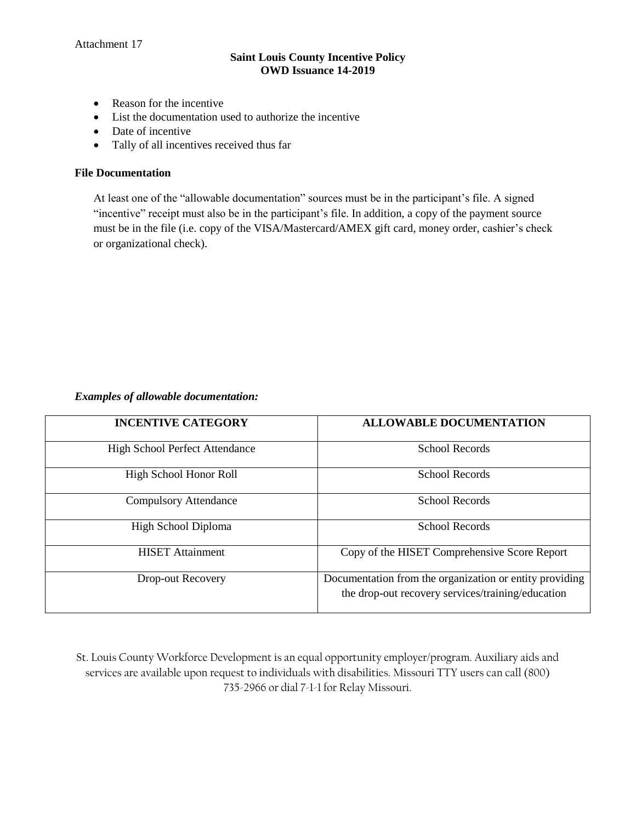- Reason for the incentive
- List the documentation used to authorize the incentive
- Date of incentive
- Tally of all incentives received thus far

#### **File Documentation**

At least one of the "allowable documentation" sources must be in the participant's file. A signed "incentive" receipt must also be in the participant's file. In addition, a copy of the payment source must be in the file (i.e. copy of the VISA/Mastercard/AMEX gift card, money order, cashier's check or organizational check).

#### *Examples of allowable documentation:*

| <b>INCENTIVE CATEGORY</b>             | <b>ALLOWABLE DOCUMENTATION</b>                                                                               |
|---------------------------------------|--------------------------------------------------------------------------------------------------------------|
| <b>High School Perfect Attendance</b> | <b>School Records</b>                                                                                        |
| High School Honor Roll                | School Records                                                                                               |
| <b>Compulsory Attendance</b>          | School Records                                                                                               |
| High School Diploma                   | <b>School Records</b>                                                                                        |
| <b>HISET Attainment</b>               | Copy of the HISET Comprehensive Score Report                                                                 |
| Drop-out Recovery                     | Documentation from the organization or entity providing<br>the drop-out recovery services/training/education |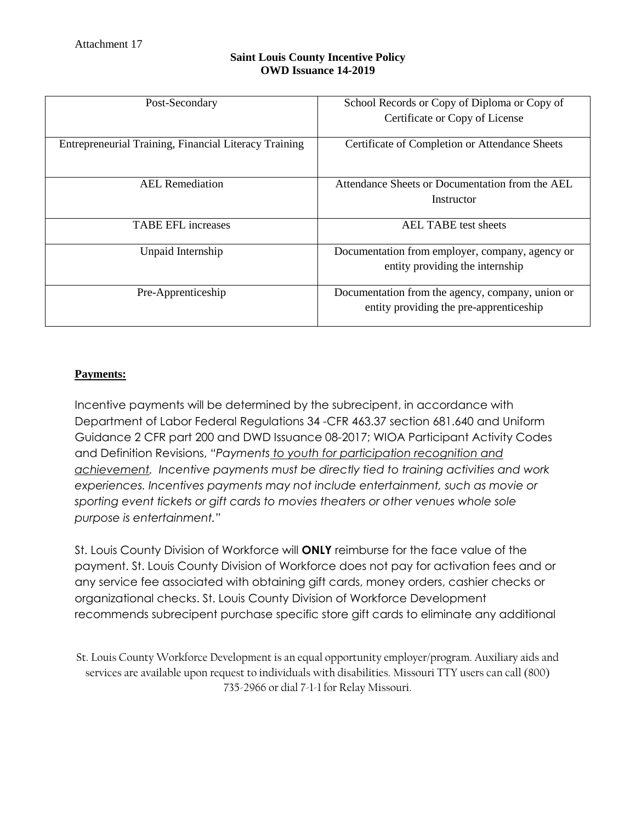| Post-Secondary                                        | School Records or Copy of Diploma or Copy of<br>Certificate or Copy of License              |
|-------------------------------------------------------|---------------------------------------------------------------------------------------------|
| Entrepreneurial Training, Financial Literacy Training | Certificate of Completion or Attendance Sheets                                              |
| <b>AEL</b> Remediation                                | Attendance Sheets or Documentation from the AEL<br>Instructor                               |
| <b>TABE EFL increases</b>                             | AEL TABE test sheets                                                                        |
| Unpaid Internship                                     | Documentation from employer, company, agency or<br>entity providing the internship          |
| Pre-Apprenticeship                                    | Documentation from the agency, company, union or<br>entity providing the pre-apprenticeship |

# **Payments:**

Incentive payments will be determined by the subrecipent, in accordance with Department of Labor Federal Regulations 34 -CFR 463.37 section 681.640 and Uniform Guidance 2 CFR part 200 and DWD Issuance 08-2017; WIOA Participant Activity Codes and Definition Revisions, *"Payments to youth for participation recognition and achievement. Incentive payments must be directly tied to training activities and work experiences. Incentives payments may not include entertainment, such as movie or sporting event tickets or gift cards to movies theaters or other venues whole sole purpose is entertainment."*

St. Louis County Division of Workforce will **ONLY** reimburse for the face value of the payment. St. Louis County Division of Workforce does not pay for activation fees and or any service fee associated with obtaining gift cards, money orders, cashier checks or organizational checks. St. Louis County Division of Workforce Development recommends subrecipent purchase specific store gift cards to eliminate any additional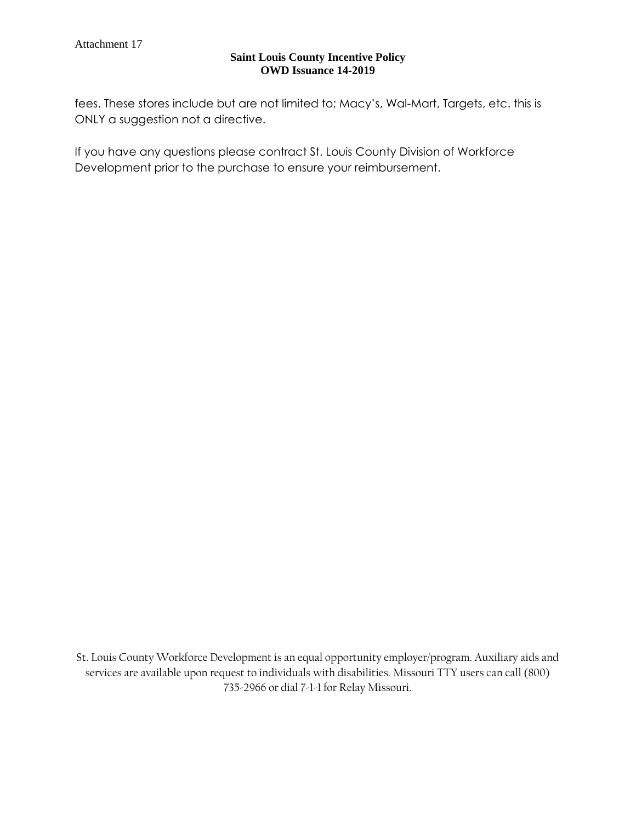fees. These stores include but are not limited to; Macy's, Wal-Mart, Targets, etc. this is ONLY a suggestion not a directive.

If you have any questions please contract St. Louis County Division of Workforce Development prior to the purchase to ensure your reimbursement.